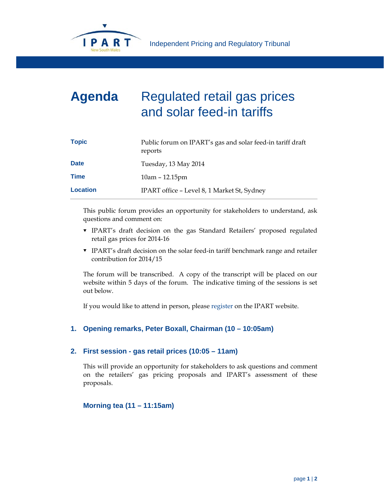

## **Agenda** Regulated retail gas prices and solar feed-in tariffs

| <b>Topic</b>    | Public forum on IPART's gas and solar feed-in tariff draft<br>reports |
|-----------------|-----------------------------------------------------------------------|
| <b>Date</b>     | Tuesday, 13 May 2014                                                  |
| <b>Time</b>     | $10am - 12.15pm$                                                      |
| <b>Location</b> | IPART office - Level 8, 1 Market St, Sydney                           |

This public forum provides an opportunity for stakeholders to understand, ask questions and comment on:

- IPART's draft decision on the gas Standard Retailers' proposed regulated retail gas prices for 2014-16
- IPART's draft decision on the solar feed-in tariff benchmark range and retailer contribution for 2014/15

The forum will be transcribed. A copy of the transcript will be placed on our website within 5 days of the forum. The indicative timing of the sessions is set out below.

If you would like to attend in person, please register on the IPART website.

## **1. Opening remarks, Peter Boxall, Chairman (10 – 10:05am)**

## **2. First session - gas retail prices (10:05 – 11am)**

This will provide an opportunity for stakeholders to ask questions and comment on the retailers' gas pricing proposals and IPART's assessment of these proposals.

**Morning tea (11 – 11:15am)**